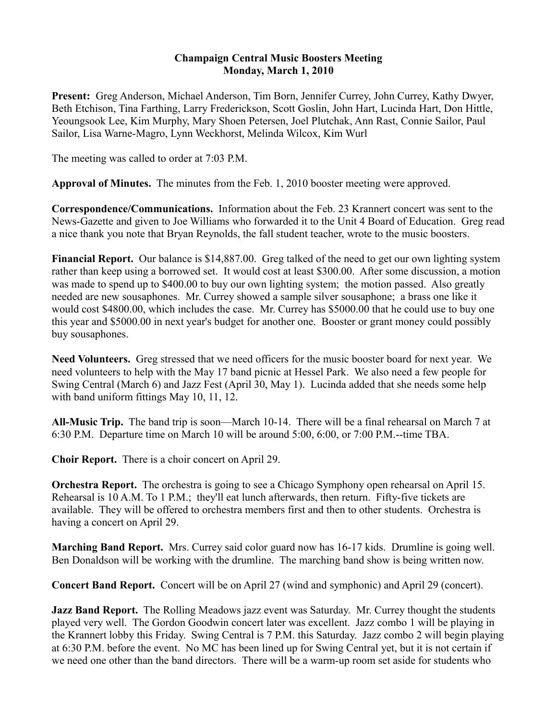## **Champaign Central Music Boosters Meeting Monday, March 1, 2010**

**Present:** Greg Anderson, Michael Anderson, Tim Born, Jennifer Currey, John Currey, Kathy Dwyer, Beth Etchison, Tina Farthing, Larry Frederickson, Scott Goslin, John Hart, Lucinda Hart, Don Hittle, Yeoungsook Lee, Kim Murphy, Mary Shoen Petersen, Joel Plutchak, Ann Rast, Connie Sailor, Paul Sailor, Lisa Warne-Magro, Lynn Weckhorst, Melinda Wilcox, Kim Wurl

The meeting was called to order at 7:03 P.M.

**Approval of Minutes.** The minutes from the Feb. 1, 2010 booster meeting were approved.

**Correspondence/Communications.** Information about the Feb. 23 Krannert concert was sent to the News-Gazette and given to Joe Williams who forwarded it to the Unit 4 Board of Education. Greg read a nice thank you note that Bryan Reynolds, the fall student teacher, wrote to the music boosters.

**Financial Report.** Our balance is \$14,887.00. Greg talked of the need to get our own lighting system rather than keep using a borrowed set. It would cost at least \$300.00. After some discussion, a motion was made to spend up to \$400.00 to buy our own lighting system; the motion passed. Also greatly needed are new sousaphones. Mr. Currey showed a sample silver sousaphone; a brass one like it would cost \$4800.00, which includes the case. Mr. Currey has \$5000.00 that he could use to buy one this year and \$5000.00 in next year's budget for another one. Booster or grant money could possibly buy sousaphones.

**Need Volunteers.** Greg stressed that we need officers for the music booster board for next year. We need volunteers to help with the May 17 band picnic at Hessel Park. We also need a few people for Swing Central (March 6) and Jazz Fest (April 30, May 1). Lucinda added that she needs some help with band uniform fittings May 10, 11, 12.

**All-Music Trip.** The band trip is soon—March 10-14. There will be a final rehearsal on March 7 at 6:30 P.M. Departure time on March 10 will be around 5:00, 6:00, or 7:00 P.M.--time TBA.

**Choir Report.** There is a choir concert on April 29.

**Orchestra Report.** The orchestra is going to see a Chicago Symphony open rehearsal on April 15. Rehearsal is 10 A.M. To 1 P.M.; they'll eat lunch afterwards, then return. Fifty-five tickets are available. They will be offered to orchestra members first and then to other students. Orchestra is having a concert on April 29.

**Marching Band Report.** Mrs. Currey said color guard now has 16-17 kids. Drumline is going well. Ben Donaldson will be working with the drumline. The marching band show is being written now.

**Concert Band Report.** Concert will be on April 27 (wind and symphonic) and April 29 (concert).

**Jazz Band Report.** The Rolling Meadows jazz event was Saturday. Mr. Currey thought the students played very well. The Gordon Goodwin concert later was excellent. Jazz combo 1 will be playing in the Krannert lobby this Friday. Swing Central is 7 P.M. this Saturday. Jazz combo 2 will begin playing at 6:30 P.M. before the event. No MC has been lined up for Swing Central yet, but it is not certain if we need one other than the band directors. There will be a warm-up room set aside for students who